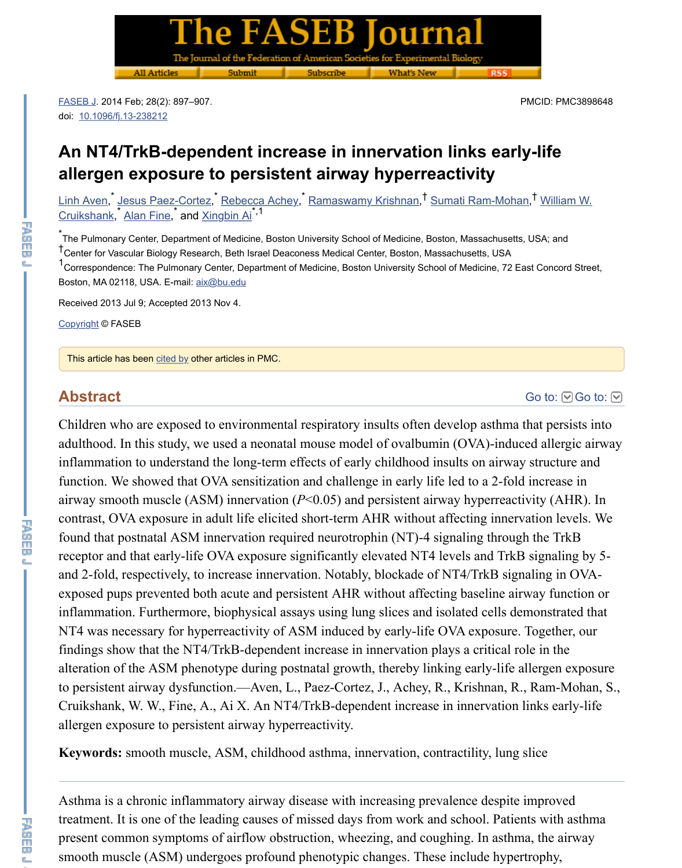<u>Linh Aven, ٌ Jesus Paez-Cortez, ٌ Rebecca Achey, ٌ Ramaswamy Krishnan,<sup>†</sup> Sumati Ram-Moha</u> Cruikshank,<sup>\*</sup> Alan Fine,<sup>\*</sup> and <u>Xingbin Ai</u><sup>\*,1</sup>

\*<br>The Pulmonary Center, Department of Medicine, Boston University School of Medicine, Boston, Massachusetts<sup>\*</sup> t<br>Center for Vascular Biology Research, Beth Israel Deaconess Medical Center, Boston, Massachusetts, USA 1<br>Correspondence: The Pulmonary Center, Department of Medicine, Boston University School of Medicine, 72 E Boston, MA 02118, USA. E-mail: aix@bu.edu

[Rec](https://www.ncbi.nlm.nih.gov/pmc/articles/PMC3898648/#)[eived 2013 Jul 9; Acce](https://dx.doi.org/10.1096%2Ffj.13-238212)pted 2013 Nov 4.

Copyright © FASEB

This article has been cited by other articles in PMC.

### **[Abstract](https://www.ncbi.nlm.nih.gov/pubmed/?term=Cruikshank%20WW%5BAuthor%5D&cauthor=true&cauthor_uid=24221086)**

Children who are exposed to environmental respiratory insults often develop asthma adulthood. In this study, we used a neonatal mouse model of ovalbumin  $(OVA)$ -induced allergical allergic and allergical and allergical and allergical and allergical and allergical and allergical and allergical and allergi inflammation to understand the long-term effects of early childhood insults on airway function. We showed tha[t OVA sen](mailto:dev@null)sitization and challenge in early life led to a 2-fold airway smooth muscle (ASM) innervation  $(P<0.05)$  and persistent airway hyperreact [contrast](https://www.ncbi.nlm.nih.gov/pmc/about/copyright/), OVA exposure in adult life elicited short-term AHR without affecting innervation of found that postnatal ASM innervation required neurotrophin (NT)-4 signaling through receptor and that [early-l](https://www.ncbi.nlm.nih.gov/pmc/articles/PMC3898648/citedby/)ife OVA exposure significantly elevated NT4 levels and TrkE and 2-fold, respectively, to increase innervation. Notably, blockade of NT4/TrkB sign exposed pups prevented both acute and persistent AHR without affecting baseline air inflammation. Furthermore, biophysical assays using lung slices and isolated cells de NT4 was necessary for hyperreactivity of ASM induced by early-life OVA exposure. findings show that the NT4/TrkB-dependent increase in innervation plays a critical role alteration of the ASM phenotype during postnatal growth, thereby linking early-life allergien exposure exposure to persistent airway dysfunction.—Aven, L., Paez-Cortez, J., Achey, R., Krishnan, R. Cruikshank, W. W., Fine, A., Ai X. An NT4/TrkB-dependent increase in innervation allergen exposure to persistent airway hyperreactivity.

Keywords: smooth muscle, ASM, childhood asthma, innervation, contractility, lung

Asthma is a chronic inflammatory airway disease with increasing prevalence despite treatment. It is one of the leading causes of missed days from work and school. Patients present common symptoms of airflow obstruction, wheezing, and coughing. In asthm smooth muscle (ASM) undergoes profound phenotypic changes. These include hyper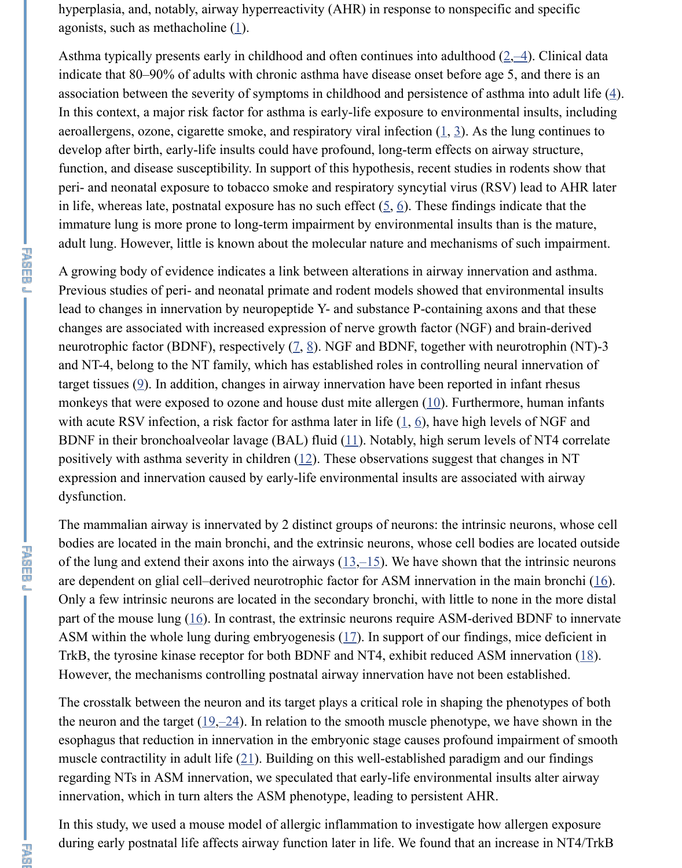peri- and neonatal exposure to tobacco smoke and respiratory syncytial virus (RSV) lead to AHR later in life, whereas late, postnatal exposure has no such effect  $(5, 6)$ . These findings indiimmature lung is more prone to [lo](https://www.ncbi.nlm.nih.gov/pmc/articles/PMC3898648/#B1)ng-term impairment by environmental insults than adult lung. However, little is known about the molecular nature and mechanisms [of](https://www.ncbi.nlm.nih.gov/pmc/articles/PMC3898648/#B2) [s](https://www.ncbi.nlm.nih.gov/pmc/articles/PMC3898648/#B3)

A growing body of evidence indicates a link between alterations in airway innervation Previous studies of peri- and neonatal primate and rodent models showed that environmental insults lead to changes in innervation by neuropeptide Y- and substance P-containing axons changes are associated with increased expression of nerve growth fac[to](https://www.ncbi.nlm.nih.gov/pmc/articles/PMC3898648/#B1)r [\(N](https://www.ncbi.nlm.nih.gov/pmc/articles/PMC3898648/#B3)GF) and b neurotrophic factor (BDNF), respectively  $(2, 8)$ . NGF and BDNF, together with neur and NT-4, belong to the NT family, which has established roles in controlling neural target tissues  $(9)$ . In addition, changes in airway innervation have been reported in in monkeys that were exposed to ozone and house dust mite a[lle](https://www.ncbi.nlm.nih.gov/pmc/articles/PMC3898648/#B5)[rg](https://www.ncbi.nlm.nih.gov/pmc/articles/PMC3898648/#B6)en  $(10)$ . Furthermore, with acute RSV infection, a risk factor for asthma later in life  $(1, 6)$ , have high levels BDNF in their bronchoalveolar lavage (BAL) fluid  $(11)$ . Notably, high serum levels of positively with asthma severity in children  $(12)$ . These observations suggest that changes in NT expression and innervation caused by early-life environmental insults are associated dysfunction.

The mammalian airway is innervated by 2 distinct groups of neurons: the intrinsic ne bodies are located in the main bronchi, an[d t](https://www.ncbi.nlm.nih.gov/pmc/articles/PMC3898648/#B7)[he](https://www.ncbi.nlm.nih.gov/pmc/articles/PMC3898648/#B8) extrinsic neurons, whose cell bodies and of the lung and extend their axons into the airways  $(13,-15)$ . We have shown that the are dependent [o](https://www.ncbi.nlm.nih.gov/pmc/articles/PMC3898648/#B9)n glial cell–derived neurotrophic factor for ASM innervation in the m Only a few intrinsic neurons are located in the secondary bronchi, [with](https://www.ncbi.nlm.nih.gov/pmc/articles/PMC3898648/#B10) little to none part of the mouse lung  $(16)$ . In contrast, the extrinsic neurons r[eq](https://www.ncbi.nlm.nih.gov/pmc/articles/PMC3898648/#B1)[ui](https://www.ncbi.nlm.nih.gov/pmc/articles/PMC3898648/#B6)re ASM-derived B ASM within the whole lung during embryogenesis  $(17)$  $(17)$ . In support of our findings, n TrkB, the tyrosine kinase receptor for both [BD](https://www.ncbi.nlm.nih.gov/pmc/articles/PMC3898648/#B12)NF and NT4, exhibit reduced ASM in However, the mechanisms controlling postnatal airway innervation have not been est

The crosstalk between the neuron and its target plays a critical role in shaping the phenotypes of both both both the neuron and the target  $(19,-24)$ . In relation to the smooth muscle phenotype, we have esophagus that reduction in innervation in the embryonic stage causes profound impairment of smoother muscle contractility in adult life  $(21)$ . Building on t[his](https://www.ncbi.nlm.nih.gov/pmc/articles/PMC3898648/#B13) [w](https://www.ncbi.nlm.nih.gov/pmc/articles/PMC3898648/#B14)[ell](https://www.ncbi.nlm.nih.gov/pmc/articles/PMC3898648/#B15)-established paradigm and regarding NTs in ASM innervation, we speculated that earl[y](https://www.ncbi.nlm.nih.gov/pmc/articles/PMC3898648/#B16)-life environmental insul innervation, which in turn alters the ASM phenotype, leading to persistent AHR.

In this study, we used a [mo](https://www.ncbi.nlm.nih.gov/pmc/articles/PMC3898648/#B16)use model of allergic infl[am](https://www.ncbi.nlm.nih.gov/pmc/articles/PMC3898648/#B17)mation to investigate how allergic  $\mu$ during early postnatal life affects airway function later in life. We found that an incre

忍頭

**アカロー**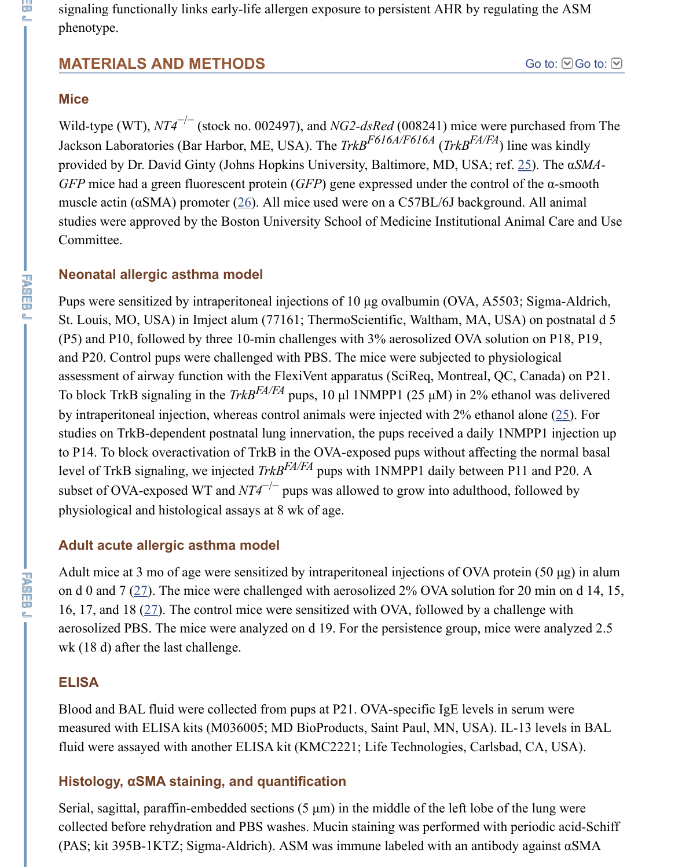muscle actin ( $\alpha$ SMA) promoter ( $\frac{26}{2}$ ). All mice used were on a C57BL/6J background. studies were approved by the Boston University School of Medicine Institutional An Committee.

#### **Neonatal allergic asthma model**

Pups were sensitized by intraperitoneal injections of 10  $\mu$ g ovalbumin (OVA, A5503; St. Louis, MO, USA) in Imject alum (77161; ThermoScientific, Waltham, MA, USA  $(P5)$  and P10, followed by three 10-min challenges with 3% aerosolized OVA solution and P20. Control pups were challenged with PBS. The mice were subjected to physio assessment of airway function with the FlexiVent apparatus (SciReq, Montreal, QC, To block T[rkB](https://www.ncbi.nlm.nih.gov/pmc/articles/PMC3898648/#B26) signaling in the *TrkB<sup>FA/FA</sup>* pups, 10 µl 1NMPP1 (25 µM) in 2% ethan by intraperitoneal injection, whereas control animals were injected with 2% ethanol alone (25). studies on TrkB-dependent postnatal lung innervation, the pups received a daily 1NM to P14. To block overactivation of TrkB in the OVA-exposed pups without affecting level of TrkB signaling, we injected *TrkB<sup>FA/FA</sup>* pups with 1NMPP1 daily between P1 subset of OVA-exposed WT and  $NT4^{-/-}$  pups was allowed to grow into adulthood, fo physiological and histological assays at 8 wk of age.

#### **Adult acute allergic asthma model**

Adult mice at 3 mo of age were sensitized by intraperitoneal injections of OVA prote on d 0 and 7 ( $27$ ). The mice were challenged with aerosolized 2% OVA solution for 2 16, 17, and 18  $(27)$ . The control mice were sensitized [with](https://www.ncbi.nlm.nih.gov/pmc/articles/PMC3898648/#B25) OVA, followed by a challenge with OVA, followed by a challenge with OVA, followed by a challenge with OVA, followed by a challenge with OVA, followed by a chall aerosolized PBS. The mice were analyzed on d 19. For the persistence group, mice w wk (18 d) after the last challenge.

#### **ELISA**

Blood and BAL fluid were collected from pups at P21. OVA-specific IgE levels in serular were collected from pups at P21. OVA-specific IgE levels in serum of measured with ELISA kits (M036005; MD BioProducts, Saint Paul, MN, USA). IL-1 fluid were assayed with another ELISA kit (KMC2221; Life Technologies, Carlsbad,

#### **Histology, α[SM](https://www.ncbi.nlm.nih.gov/pmc/articles/PMC3898648/#B27)A staining, and quantification**

Serial, sagittal, [par](https://www.ncbi.nlm.nih.gov/pmc/articles/PMC3898648/#B27)affin-embedded sections  $(5 \mu m)$  in the middle of the left lobe of the collected before rehydration and PBS washes. Mucin staining was performed with pe (PAS; kit 395B-1KTZ; Sigma-Aldrich). ASM was immune labeled with an antibody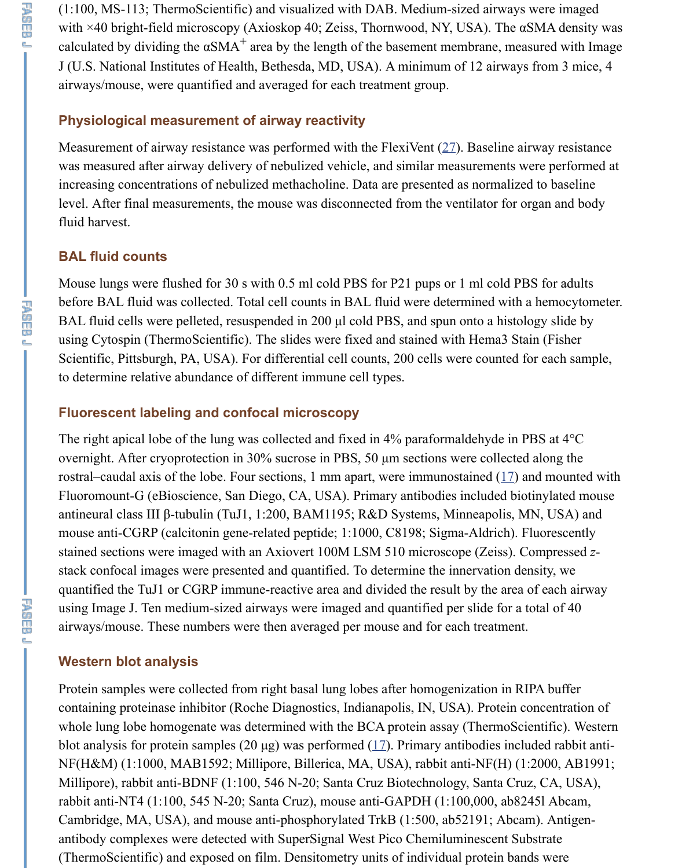level. After final measurements, the mouse was disconnected from the ventilator for fluid harvest.

#### **BAL fluid counts**

Mouse lungs were flushed for 30 s with 0.5 ml cold PBS for P21 pups or 1 ml cold P before BAL fluid was collected. Total cell counts in BAL fluid were determined with BAL fluid cells were pelleted, resuspended in 200 µl cold PBS, and spun onto a histology slide by using Cytospin (ThermoScientific). The slides were fixed and stained [wit](https://www.ncbi.nlm.nih.gov/pmc/articles/PMC3898648/#B27)h Hema3 St Scientific, Pittsburgh, PA, USA). For differential cell counts, 200 cells were counted to determine relative abundance of different immune cell types.

## **Fluorescent labeling and confocal microscopy**

The right apical lobe of the lung was collected and fixed in 4% paraformaldehyde in overnight. After cryoprotection in 30% sucrose in PBS, 50 µm sections were collected rostral–caudal axis of the lobe. Four sections, 1 mm apart, were immunostained  $(17)$ Fluoromount-G (eBioscience, San Diego, CA, USA). Primary antibodies included bi antineural class III β-tubulin (TuJ1, 1:200, BAM1195; R&D Systems, Minneapolis, I mouse anti-CGRP (calcitonin gene-related peptide; 1:1000, C8198; Sigma-Aldrich). stained sections were imaged with an Axiovert 100M LSM 510 microscope (Zeiss). stack confocal images were presented and quantified. To determine the innervation d quantified the TuJ1 or CGRP immune-reactive area and divided the result by the area using Image J. Ten medium-sized airways were imaged and quantified per slide for a airways/mouse. These numbers were then averaged per mouse and for each treatmen

## **Western blot analysis**

Protein samples were collected from right basal lung lobes after homogenization in R containing proteinase inhibitor (Roche Diagnostics, Indianapolis, IN, USA). Protein whole lung lobe homogenate was determined with the BCA protein assay (ThermoScotlands). blot analysis for protein samples (20  $\mu$ g) was performed (17). Primary antibodies inc NF(H&M) (1:1000, MAB1592; Millipore, Billerica, MA, USA), rabbit anti-NF(H) ( Millipore), rabbit anti-BDNF (1:100, 546 N-20; Santa Cruz Biotechnology, Santa Cr rabbit anti-NT4 (1:100, 545 N-20; Santa Cruz), mouse anti-GAPDH (1:100,000, ab8 Cambridge, MA, USA), and mouse anti-phosphorylated TrkB (1:500, ab52191; Abcam antibody complexes were detected with SuperSignal West Pico Chemiluminescent Substrate (ThermoScientific) and exposed on film. Densitometry units of individual protein ba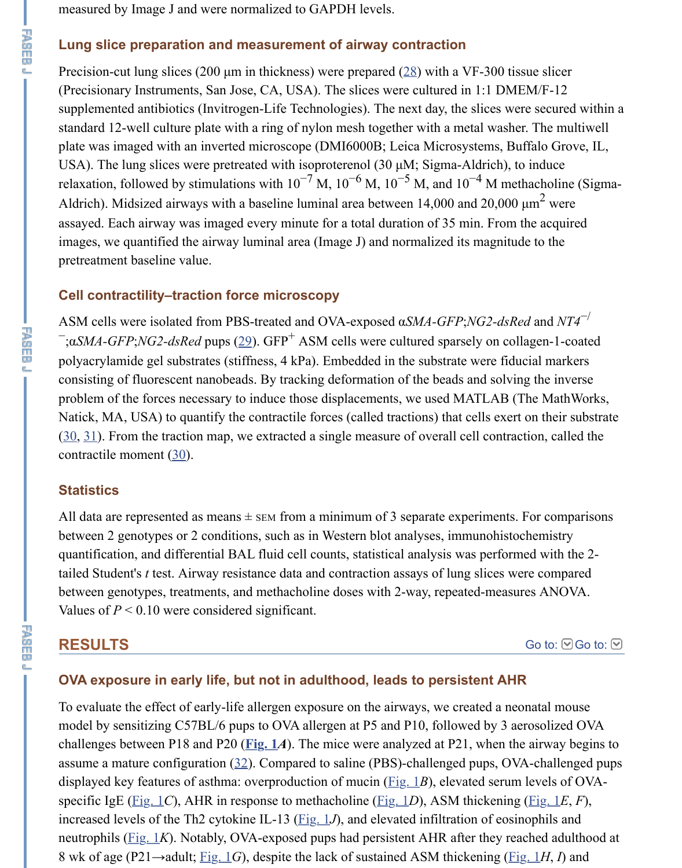Aldrich). Midsized airways with a baseline luminal area between  $14,000$  and  $20,000$ assayed. Each airway was imaged every minute for a total duration of 35 min. From images, we quantified the airway luminal area (Image J) and normalized its magnitud pretreatment baseline value.

## **Cell contractility–traction force microscopy**

ASM cells were isolated from PBS-treated and OVA-exposed α*SMA-GFP*;*NG2-dsRe* <sup>−</sup>;α*SMA-GFP*;*NG2-dsRed* pups (29). GFP<sup>+</sup> ASM cells were cultured sparsely on coll polyacrylamide gel substrates (stiffness, 4 kPa). Embedded in the substrate were fidu consisting of fluorescent nanobeads. By tracking deformation of the beads and solving problem of the forces necessary to induce those displacements, we used MATLAB (The Math Natick, MA, USA) to quantify the contractile forces (called tractions) that cells exert  $(30, 31)$ . From the traction map, we extracted a single measure of overall cell contraction, called the traction, and the theorem. contractile moment (30).

#### **Statistics**

All data are represented as means  $\pm$  sem from a minimum of 3 separate experiments. between 2 genotypes or 2 condit[ion](https://www.ncbi.nlm.nih.gov/pmc/articles/PMC3898648/#B29)s, such as in Western blot analyses, immunohistochemistry quantification, and differential BAL fluid cell counts, statistical analysis was perform tailed Student's *t* test. Airway resistance data and contraction assays of lung slices we between genotypes, treatments, and methacholine doses with 2-way, repeated-measures Values of  $P \le 0.10$  were considered significant.

## **RESULTS**

#### **OVA exposure in early life, but not in adulthood, leads to persistent AHR**

To evaluate the effect of early-life allergen exposure on the airways, we created a neonate model by sensitizing C57BL/6 pups to OVA allergen at P5 and P10, followed by 3 aerosolic challenges between P18 and P20 ( $Fig. 1*A*$ ). The mice were analyzed at P21, when the</u> assume a mature configuration  $(32)$ . Compared to saline (PBS)-challenged pups, OV displayed key features of asthma: overproduction of mucin  $(Fig, 1B)$ , elevated serum specific IgE (Fig. 1*C*), AHR in response to methacholine (Fig. 1*D*), ASM thickening increased levels of the Th2 cytokine IL-13 ( $Fig. 1J$ ), and elevated infiltration of eosin neutrophils ( $Fig. 1K$ ). Notably, OVA-exposed pups had persistent AHR after they rea 8 wk of age (P21→adult; Fig. 1*G*), despite the lack of sustained ASM thickening (Fig. 1*H*, *I*) and *IH*, *IM*, *IH*<sub>*I*</sub><sup>*I*</sup>, *IH*<sub>*I*</sub><sup>*I*</sup>, *IH*<sub>*I*</sub><sup>*I*</sup>, *IH*<sub>*I*</sub><sup>*I*</sup>, *I*<sup>*I*</sup>, *I*<sub>*I*</sub>*I*, *I*<sub>*I*</sub>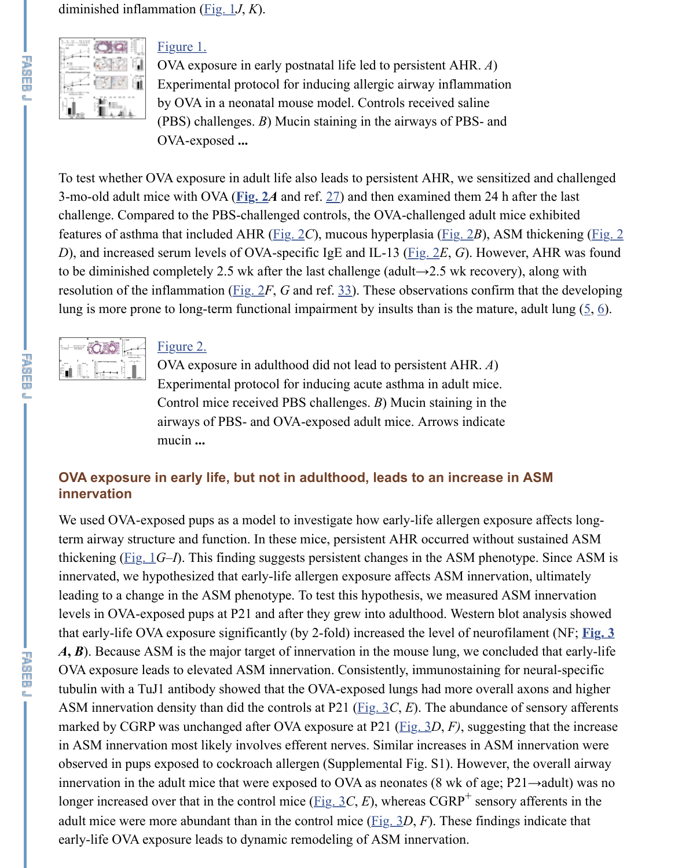3-mo-old adult mice with [OVA \(](https://www.ncbi.nlm.nih.gov/pmc/articles/PMC3898648/figure/F1/)Fig. 2A and ref. 27) and then examined them 24 h af challenge. Compared to the PBS-challenged controls, the OVA-challenged adult mic features of asthm[a that inclu](https://www.ncbi.nlm.nih.gov/pmc/articles/PMC3898648/figure/F1/)ded AHR (Fig.  $2C$ ), mucous hyperplasia (Fig. 2*B*), ASM *D*), and increased serum levels of OVA-specific IgE and IL-13 ( $Fig. 2E$ , *G*). However, [to be diminished](https://www.ncbi.nlm.nih.gov/pmc/articles/PMC3898648/figure/F1/) completely 2.5 wk after the last challenge (adult $\rightarrow$ 2.5 wk recovery) resolution of the inflammation (Fig.  $2F$ , *G* and ref. 33). These observations confirm t lung is more prone to long-term functional impairment by insults than is the mature,



平面而见

#### Figure 2.

OVA exposure in adulthood did not lead to persistent AHR. *A*) Experimental [protoc](https://www.ncbi.nlm.nih.gov/pmc/articles/PMC3898648/figure/F2/)ol for ind[ucin](https://www.ncbi.nlm.nih.gov/pmc/articles/PMC3898648/#B27)g acute asthma in adult mice. Control mice received PBS challenges. *B*) Mucin staining in the airways of PBS- and [OVA-](https://www.ncbi.nlm.nih.gov/pmc/articles/PMC3898648/figure/F2/)exposed adult mice. Arr[ows ind](https://www.ncbi.nlm.nih.gov/pmc/articles/PMC3898648/figure/F2/)icate mucin **...**

#### **OVA exposure in early life, [but n](https://www.ncbi.nlm.nih.gov/pmc/articles/PMC3898648/figure/F2/)ot in adult[hoo](https://www.ncbi.nlm.nih.gov/pmc/articles/PMC3898648/#B33)d, leads to an increase in innervation**

We used OVA-exposed pups as a model to investigate how early-life allergen exposure [term airway stru](https://www.ncbi.nlm.nih.gov/pmc/articles/PMC3898648/figure/F2/)c[ture and fu](https://www.ncbi.nlm.nih.gov/pmc/articles/PMC3898648/figure/F2/)nction. In these mice, persistent AHR occurred without s thickening  $(Fig_1 G-I)$ . This finding suggests persistent changes in the ASM phenoty innervated, we hypothesized that early-life allergen exposure affects ASM innervation, leading to a change in the ASM phenotype. To test this hypothesis, we measured ASI levels in OVA-exposed pups at P21 and after they grew into adulthood. Western blot that early-life OVA exposure significantly (by 2-fold) increased the level of neurofilam  $\vec{A}$ ,  $\vec{B}$ ). Because ASM is the major target of innervation in the mouse lung, we conclude OVA exposure leads to elevated ASM innervation. Consistently, immunostaining for tubulin with a TuJ1 antibody showed that the OVA-exposed lungs had more overall a ASM innervation density than did the controls at P21 ( $\underline{Fig. 3}C, E$ ). The abundance of marked by CGRP was unchanged after OVA exposure at P21 (Fig. 3D, F), suggesting in ASM inn[ervatio](https://www.ncbi.nlm.nih.gov/pmc/articles/PMC3898648/figure/F1/)n most likely involves efferent nerves. Similar increases in ASM innervation were likely involves efferent nerves. Similar increases in ASM in observed in pups exposed to cockroach allergen (Supplemental Fig. S1). However, the innervation in the adult mice that were exposed to OVA as neonates (8 wk of age; P2 longer increased over that in the control mice ( $\underline{Fig. 3C}$ , *E*), whereas CGRP<sup>+</sup> sensory and adult mice were more abundant than in the control mice  $(Fig. 3D, F)$ . These findings early-life OVA exposure leads to dynamic remodeling of ASM innervation.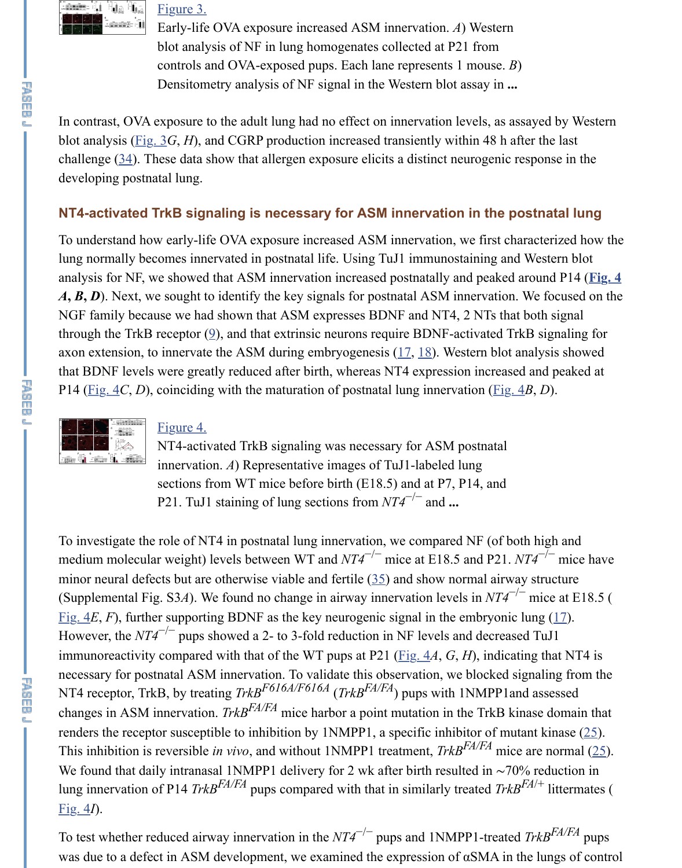## **[NT4-activated](https://www.ncbi.nlm.nih.gov/pmc/articles/PMC3898648/figure/F3/) [TrkB sign](https://www.ncbi.nlm.nih.gov/pmc/articles/PMC3898648/figure/F3/)aling is necessary for ASM innervation in the postratal lungate lungate lungate lungate**

To understand how early-life OVA exposure increased ASM innervation, we first cha lung normally becomes innervated in postnatal life. Using TuJ1 immunostaining and analysis for NF, we showed that ASM innervation increased postnatally and peaked a  $\vec{A}$ ,  $\vec{B}$ ,  $\vec{D}$ ). Next, we sought to identify the key signals for postnatal ASM innervation. NGF family because we had shown that ASM expresses BDNF and NT4, 2 NTs that through the T[rkB rec](https://www.ncbi.nlm.nih.gov/pmc/articles/PMC3898648/figure/F3/)eptor  $(9)$ , and that extrinsic neurons require BDNF-activated Trl axon exten[sio](https://www.ncbi.nlm.nih.gov/pmc/articles/PMC3898648/#B34)n, to innervate the ASM during embryogenesis  $(17, 18)$ . Western blot a that BDNF levels were greatly reduced after birth, whereas NT4 expression increased P14 (Fig. 4*C*, *D*), coinciding with the maturation of postnatal lung innervation (Fig. 4



#### Figure 4.

NT4-activated TrkB signaling was necessary for ASM postnatal innervation. *A*) Representative images of TuJ1-labeled lung sections from WT mice before birth (E18.5) and at P7, P14, and P21. TuJ1 staining of lung sections from *NT4*<sup>-/−</sup> and ...

To investigate the role of NT4 in postnatal lung innervation, [we c](https://www.ncbi.nlm.nih.gov/pmc/articles/PMC3898648/#B17)[om](https://www.ncbi.nlm.nih.gov/pmc/articles/PMC3898648/#B18)pared NF (of both medium molecular weight) levels between WT and  $NT4^{-/-}$  mice at E18.5 and P21. *N* mino[r neura](https://www.ncbi.nlm.nih.gov/pmc/articles/PMC3898648/figure/F4/)l defects but are otherwise viable and fertile  $(35)$  and show normal [airway](https://www.ncbi.nlm.nih.gov/pmc/articles/PMC3898648/figure/F4/) (Supplemental Fig. S3A). We found no change in airway innervation levels in  $NT4^{-/2}$ Fig.  $4E$ ,  $F$ ), furth[er supporti](https://www.ncbi.nlm.nih.gov/pmc/articles/PMC3898648/figure/F4/)ng BDNF as the key neurogenic signal in the embryonic [However, the](https://www.ncbi.nlm.nih.gov/pmc/articles/PMC3898648/figure/F4/)  $NT4^{-/-}$  pups showed a 2- to 3-fold reduction in NF levels and decrease immunoreactivity compared with that of the WT pups at P21 ( $Fig. 4A, G, H$ ), indicat necessary for postnatal ASM innervation. To validate this observation, we blocked si NT4 receptor, TrkB, by treating *TrkB<sup>F616A/F616A</sup> (TrkB<sup>FA/FA</sup>)* pups with 1NMPP1an changes in ASM innervation. *TrkB<sup>FA/FA</sup>* mice harbor a point mutation in the TrkB kin renders the receptor susceptible to inhibition by 1NMPP1, a specific inhibitor of mut This inhibition is reversible *in vivo*, and without 1NMPP1 treatment, *TrkB<sup>FA/FA</sup>* mice We found that daily intranasal 1NMPP1 delivery for 2 w[k af](https://www.ncbi.nlm.nih.gov/pmc/articles/PMC3898648/#B35)ter birth resulted in ~70% reduction lung innervation of P14 *TrkB*<sup>FA/FA</sup> pups compared with that in similarly treated *TrkB* [Fig. 4](https://www.ncbi.nlm.nih.gov/pmc/articles/PMC3898648/figure/F4/)*I*).

To test whether reduced airway innervation in the *NT4*<sup>-/-</sup> pups and 1NMPP1-treated was due to a defect in ASM development, we examined the e[xpressi](https://www.ncbi.nlm.nih.gov/pmc/articles/PMC3898648/figure/F4/)on of  $\alpha$ SMA in the lungs of controllungs of controllungs of  $\alpha$ SMA in the lungs of controllungs of  $\alpha$ SMA in the lungs of  $\alpha$ SMA in the lungs of  $\alpha$ SMA

**不是的问题**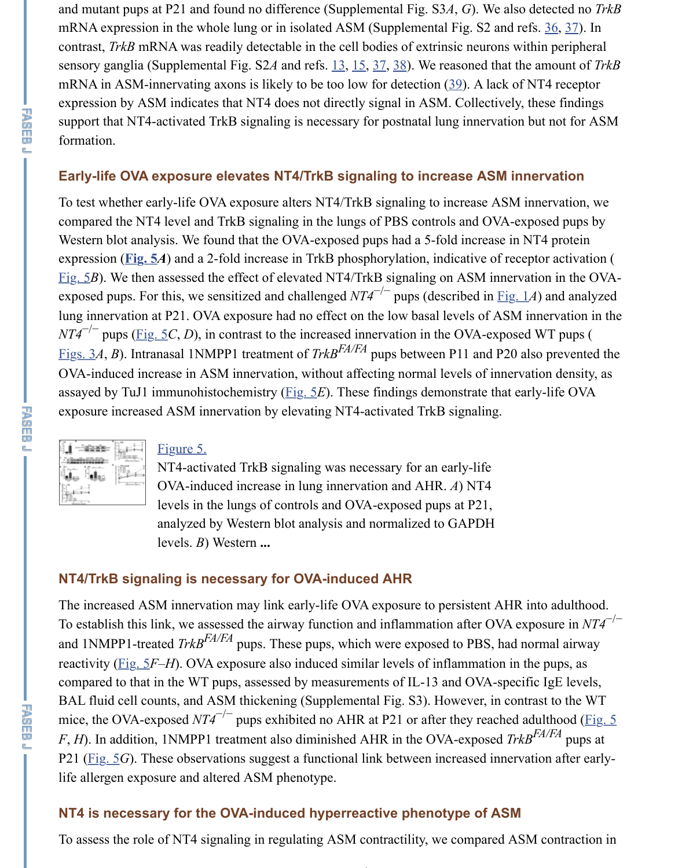To test whether early-life OVA exposure alters NT4/TrkB signaling to increase ASM compared the NT4 level and TrkB signaling in the lungs of PBS controls and OVA-e Western blot analysis. We found that the OVA-exposed pups had a 5-fold increase in expression (**Fig. 5***A*) and a 2-fold increase in Trk[B ph](https://www.ncbi.nlm.nih.gov/pmc/articles/PMC3898648/#B13)[osp](https://www.ncbi.nlm.nih.gov/pmc/articles/PMC3898648/#B15)[hor](https://www.ncbi.nlm.nih.gov/pmc/articles/PMC3898648/#B37)[ylat](https://www.ncbi.nlm.nih.gov/pmc/articles/PMC3898648/#B38)ion, indicative of rec Fig.  $5B$ ). We then assessed the effect of elevated NT4/TrkB signaling o[n A](https://www.ncbi.nlm.nih.gov/pmc/articles/PMC3898648/#B39)SM innervationexposed pups. For this, we sensitized and challenged *NT4*<sup>-/-</sup> pups (described in <u>Fig.</u> lung innervation at P21. OVA exposure had no effect on the low basal levels of ASM  $NT4^{-/-}$  pups ( $\underline{Fig. 5C}$ , *D*), in contrast to the increased innervation in the OVA-expose Figs. 3A, B). Intranasal 1NMPP1 treatment of  $TrkB^{FA/FA}$  pups between P11 and P20 and OVA-induced increase in ASM innervation, without affecting normal levels of innervation. assayed by TuJ1 immunohistochemistry ( $Fig. 5E$ ). These findings demonstrate that e exposure increased ASM innervation by elevating NT4-activated TrkB signaling.



**子頭巾頭** 

アール

#### [F](https://www.ncbi.nlm.nih.gov/pmc/articles/PMC3898648/figure/F5/)igure 5.

NT4-activated TrkB signaling was necessary for an early-life OVA-induced increase in lung innervation and AHR. *A*) NT4 levels in the lungs of controls and OVA-exposed pups at P21, [an](https://www.ncbi.nlm.nih.gov/pmc/articles/PMC3898648/figure/F5/)alyzed by Western blot analysis and normalized to GAPDH levels. *B*) Western **...**

#### **NT4/TrkB signaling is necessary fo[r OVA](https://www.ncbi.nlm.nih.gov/pmc/articles/PMC3898648/figure/F5/)-induced AHR**

The increased ASM innervation may link early-life OVA exposure to persistent AHR To establish this link, we assessed the airway function and inflammation after OVA e [and 1NMPP1-tre](https://www.ncbi.nlm.nih.gov/pmc/articles/PMC3898648/figure/F5/)ated *[TrkB](https://www.ncbi.nlm.nih.gov/pmc/articles/PMC3898648/figure/F5/)<sup>FA/FA</sup>* pups. These pups, which were exposed to PBS, had a reactivity (Fig. 5*F–H*). OVA exposure also induced similar levels of inflammation in compared to that in the WT pups, assessed by measurements of IL-13 and OVA-spec BAL fluid cell counts, and ASM thickening (Supplemental Fig. S3). However, in cor mice, the OVA-exposed  $NT4^{-/-}$  pups exhibited no AHR at P21 or after they reached *F*, *H*). In addition, 1NMPP1 treatment also diminished AHR in the OVA-exposed *Tri* P21 ( $Fig. 5G$ ). These observations suggest a functional link between increased innervation and  $FQ$ life allergen exposure and altered ASM phenotype.

#### **NT4 is necessary for the OVA-induced hyperreactive phenotype of ASM**

To assess the role of NT4 signaling in regulating ASM contractility, we compared AS

−/−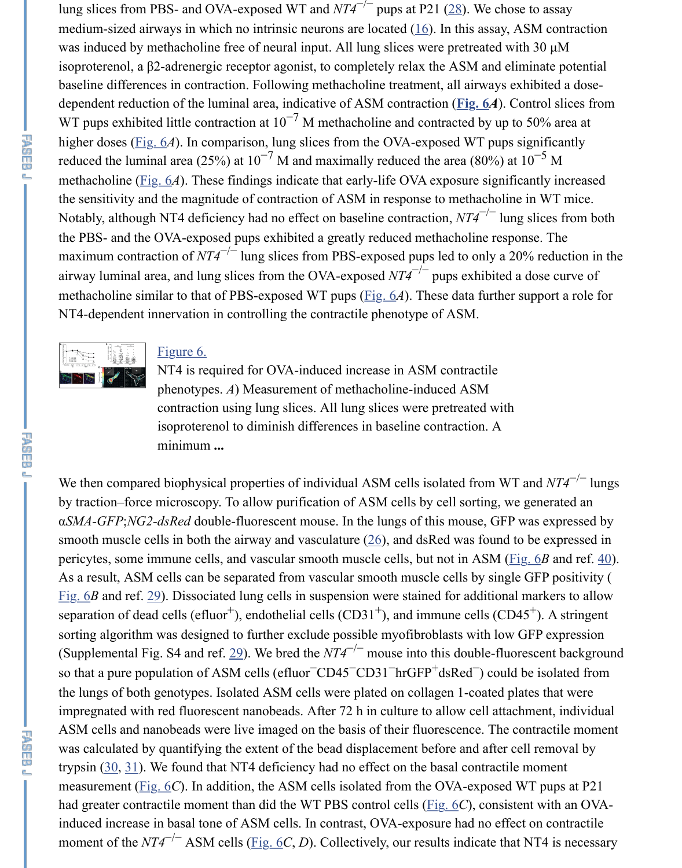the sensitivity and the magnitude of contraction of ASM in response to [me](https://www.ncbi.nlm.nih.gov/pmc/articles/PMC3898648/#B28)thacholine Notably, although NT4 deficiency had no effect on baseline cont[ract](https://www.ncbi.nlm.nih.gov/pmc/articles/PMC3898648/#B16)ion, *NT4*<sup>-/-</sup> lung the PBS- and the OVA-exposed pups exhibited a greatly reduced methacholine respo maximum contraction of  $NT4^{-/-}$  lung slices from PBS-exposed pups led to only a 20 airway luminal area, and lung slices from the OVA-exposed  $NT4^{-/-}$  pups exhibited a methacholine similar to that of PBS-exposed WT pups  $(Fig. 6A)$ . These [data fu](https://www.ncbi.nlm.nih.gov/pmc/articles/PMC3898648/figure/F6/)rther support and for the role for  $Fig. 6A$ . NT4-dependent innervation in controlling the contractile phenotype of ASM.



**下降的问题** 

平面而见

#### Figure 6.

[NT](https://www.ncbi.nlm.nih.gov/pmc/articles/PMC3898648/figure/F6/)4 is required for OVA-induced increase in ASM contractile phenotypes. *A*) Measurement of methacholine-induced ASM contraction using lung slices. All lung slices were pretreated with isoproterenol to diminish differences in baseline contraction. A minimum **...**

We then compared biophysical properties of individual [ASM c](https://www.ncbi.nlm.nih.gov/pmc/articles/PMC3898648/figure/F6/)ells isolated from WT by traction–force microscopy. To allow purification of ASM cells by cell sorting, we  $αSMA-GFP;NG2-dsRed$  double-fluorescent mouse. In the lungs of this mouse, GFP was expressed by the lungs of this mouse. smooth muscle ce[lls in both](https://www.ncbi.nlm.nih.gov/pmc/articles/PMC3898648/figure/F6/) the airway and vasculature  $(26)$ , and dsRed was found to [pericytes, some](https://www.ncbi.nlm.nih.gov/pmc/articles/PMC3898648/figure/F6/) immune cells, and vascular smooth muscle cells, but not in ASM (Fig. 6*B* and ref. 40). As a result, ASM cells can be separated from vascular smooth muscle cells by single Fig.  $6B$  and ref.  $29$ ). Dissociated lung cells in suspension were stained for additional separation of dead cells (efluor<sup>+</sup>), endothelial cells (CD31<sup>+</sup>), and immune cells (CD4 sorting algorithm was designed to further exclude possible myofibroblasts with low G (Supplemental Fig. S4 and ref.  $\frac{29}{2}$ ). We bred the  $NT4^{-/-}$  mouse into this double-fluor so that a pure population of ASM cells (efluor $\bar{CD}$ 45 $\bar{CD}$ 31 $\bar{D}$ rGFP<sup>+</sup>dsRed $\bar{D}$ ) could  $\bar{D}$ the lungs of both genotypes. Isolated ASM cells were plated on collagen 1-coated plated impregnated with red fluorescent nanobeads. After 72 h in culture to allow cell attach ASM cells and nanobeads were live imaged on the basis [of](https://www.ncbi.nlm.nih.gov/pmc/articles/PMC3898648/#B26) their fluorescence. The contraction was calculated by quantifying the extent of the bead displacement before and after ce trypsin  $(30, 31)$ . We found that NT4 deficiency had no effect on the basal contractile [measu](https://www.ncbi.nlm.nih.gov/pmc/articles/PMC3898648/figure/F6/)rement (F[ig.](https://www.ncbi.nlm.nih.gov/pmc/articles/PMC3898648/#B29) 6*C*). In addition, the ASM cells isolated from the OVA-exposed V had greater contractile moment than did the WT PBS control cells (*Fig. 6C*), consiste induced increase in basal tone of ASM cells. In contrast, OVA-exposure had no effect moment of the  $NT4^{-/-}$  ASM c[ells](https://www.ncbi.nlm.nih.gov/pmc/articles/PMC3898648/#B29) ( $\underline{Fig. 6C}$ , *D*). Collectively, our results indicate that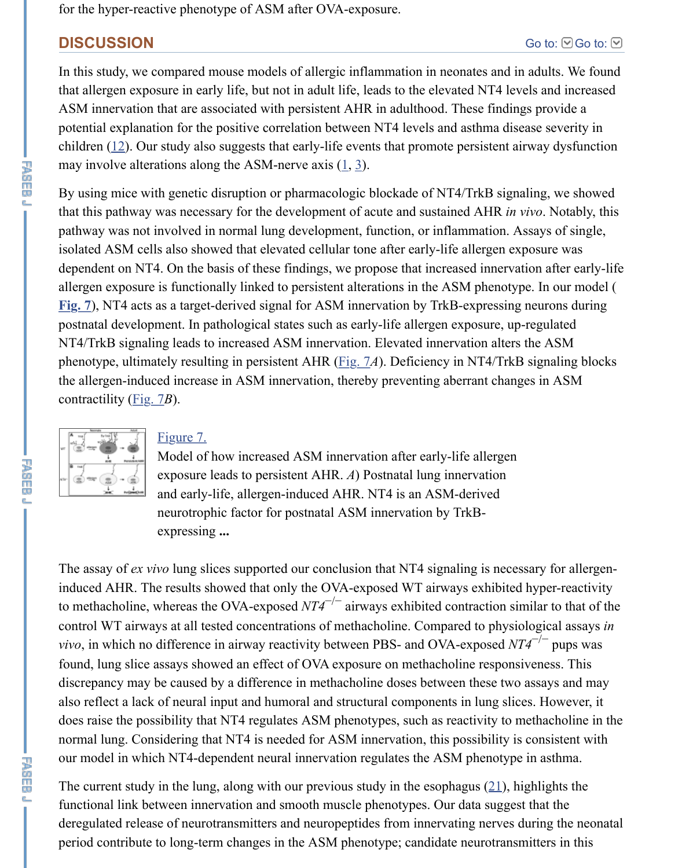By using mice with genetic disruption or pharmacologic blockade or NT4/TrkB signa that this pathway was necessary for the development of acute and sustained AHR *in* pathway was not involved in normal lung development, function, or inflammation. A isolated ASM cells also showed that elevated cellular tone after early-life allergen ex dependent on NT4. On the basis of these findings, we propose that increased innerva allergen exposure is functionally linked to persistent alterations in the ASM phenotype. **Fig. 7**), NT4 acts as a target-derived signal for ASM innervation by TrkB-expressing postnatal development. In pathological states such as early-life allergen exposure, up-NT4/Trk[B si](https://www.ncbi.nlm.nih.gov/pmc/articles/PMC3898648/#B12)gnaling leads to increased ASM innervation. Elevated innervation alters phenotype, ultimately resulting in persistent AHR ([Fi](https://www.ncbi.nlm.nih.gov/pmc/articles/PMC3898648/#B1)[g.](https://www.ncbi.nlm.nih.gov/pmc/articles/PMC3898648/#B3) 7A). Deficiency in NT4/TrkE the allergen-induced increase in ASM innervation, thereby preventing aberrant changes contractility (Fig. 7*B*).



#### Figure 7.

Model of how increased ASM innervation after early-life allergen exposure leads to persistent AHR. *A*) Postnatal lung innervation and early-life, allergen-induced AHR. NT4 is an ASM-derived neurotrophic factor for postnatal ASM innervation by TrkBexpressing **...**

The assay of *ex vivo* lung slices supported our con[clusion](https://www.ncbi.nlm.nih.gov/pmc/articles/PMC3898648/figure/F7/) that NT4 signaling is neces induced AH[R. The](https://www.ncbi.nlm.nih.gov/pmc/articles/PMC3898648/figure/F7/) results showed that only the OVA-exposed WT airways exhibited to methacholine, whereas the OVA-exposed  $NT4^{-/-}$  airways exhibited contraction sim control WT airwa[ys at all te](https://www.ncbi.nlm.nih.gov/pmc/articles/PMC3898648/figure/F7/)sted concentrations of methacholine. Compared to physio *vivo*, in which no difference in airway reactivity between PBS- and OVA-exposed *NT* [found, lung slice](https://www.ncbi.nlm.nih.gov/pmc/articles/PMC3898648/figure/F7/) assays showed an effect of OVA exposure on methacholine respons discrepancy may be caused by a difference in methacholine doses between these two also reflect a lack of neural input and humoral and structural components in lung slic does raise the possibility that NT4 regulates ASM phenotypes, such as reactivity to n normal lung. Considering that NT4 is needed for ASM innervation, this possibility is our model in which NT4-dependent neural innervation regulates the ASM phenotype

The current study in the lung, along with our previous study in the esophagus  $(21)$ , h functional link between innervation and smooth muscle phenotypes. Our data sugges deregulated release of neurotransmitters and neuropeptides from innervating nerves during the new period contribute to long-term changes in the ASM phenotype; candidate neurotransmitters

G.

不是的问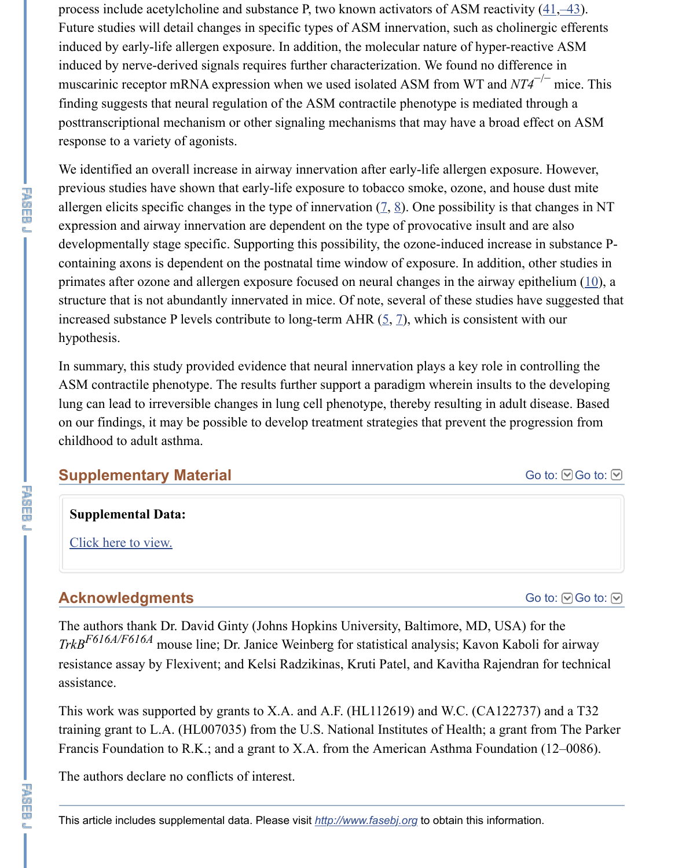previous studies have shown that early-life exposure to tobacco smoke, ozone, and house dust mite allergen elicits specific c[han](https://www.ncbi.nlm.nih.gov/pmc/articles/PMC3898648/#B41)[g](https://www.ncbi.nlm.nih.gov/pmc/articles/PMC3898648/#B42)[es](https://www.ncbi.nlm.nih.gov/pmc/articles/PMC3898648/#B43) in the type of innervation  $(2, 8)$ . One possibility is th expression and airway innervation are dependent on the type of provocative insult an developmentally stage specific. Supporting this possibility, the ozone-induced increase in substance  $\frac{1}{2}$ containing axons is dependent on the postnatal time window of exposure. In addition primates after ozone and allergen exposure focused on neural changes in the airway of structure that is not abundantly innervated in mice. Of note, several of these studies have suggested that is not abundantly innervated in mice. Of note, several of these studies have studies. increased substance P levels contribute to long-term AHR  $(5, 7)$ , which is consistent hypothesis.

In summary, this study provided evidence that neural innervation plays a key role in ASM contractile phenotype. The results further support a paradigm wherein insults to lung can lead to irreversible changes in lung cell phenotyp[e,](https://www.ncbi.nlm.nih.gov/pmc/articles/PMC3898648/#B7) t[he](https://www.ncbi.nlm.nih.gov/pmc/articles/PMC3898648/#B8)reby resulting in adult on our findings, it may be possible to develop treatment strategies that prevent the pr childhood to adult asthma.

## **Supplementary Material**

## **Supplemental Data:**

Click here to view.

## **Acknowledgments**

The authors thank Dr. David Ginty (Johns Hopkins University, Baltimore, MD, USA *TrkB*<sup>F616A/F616A</sup> mouse line; Dr. Janice Weinberg for statistical analysis; Kavon Kaboli for all for all the statistical analysis; Kavon Kaboli *TrkB*<sup>F616A</sup>/F616A resistance assay by Flexivent; and Kelsi Radzikinas, Kruti Patel, and Kavitha Rajend assistance.

This work was supported by grants to X.A. and A.F. (HL112619) and W.C. (CA1227 $\sigma$ tr[aining grant to L.A.](https://www.ncbi.nlm.nih.gov/pmc/articles/PMC3898648/bin/supp_28_2_897__index.html) (HL007035) from the U.S. National Institutes of Health; a grant Francis Foundation to R.K.; and a grant to X.A. from the American Asthma Foundat

The authors declare no conflicts of interest.

下降<br>四<br>四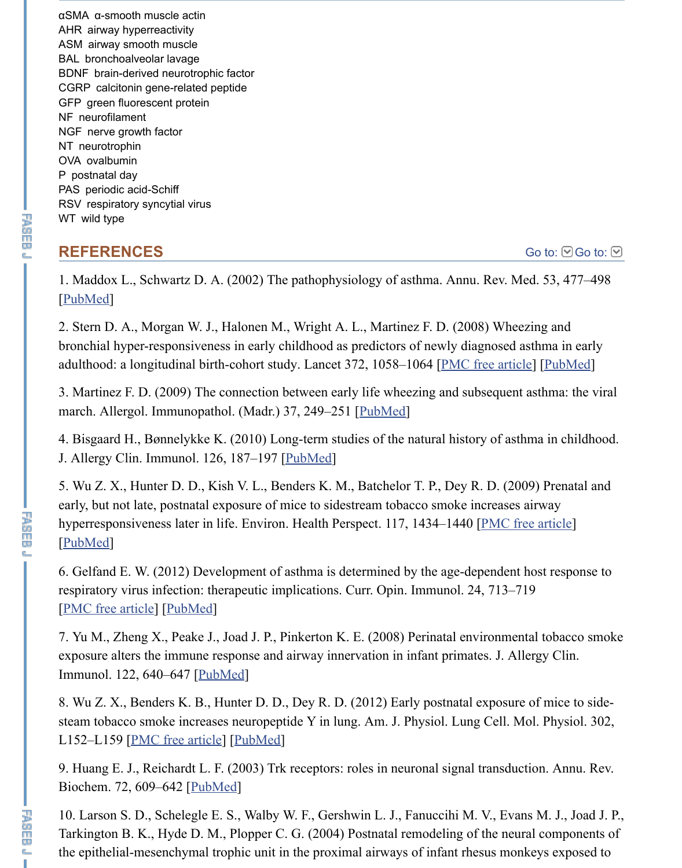子頭巾頭

# **REFERENCES**

1. Maddox L., Schwartz D. A. (2002) The pathophysiology of asthma. Annu. Rev. M [PubMed]

2. Stern D. A., Morgan W. J., Halonen M., Wright A. L., Martinez F. D. (2008) Whee bronchial hyper-responsiveness in early childhood as predictors of newly diagnosed as adulthood: a longitudinal birth-cohort study. Lancet 372, 1058-1064 [PMC free artic

3. Martinez F. D. (2009) The connection between early life wheezing and subsequent march. Allergol. Immunopathol. (Madr.) 37, 249-251 [PubMed]

4. Bisgaard H., Bønnelykke K. (2010) Long-term studies of the natural history of ast J. Allergy Clin. Immunol. 126, 187-197 [PubMed]

[5. Wu Z.](https://www.ncbi.nlm.nih.gov/pubmed/11818486) X., Hunter D. D., Kish V. L., Benders K. M., Batchelor T. P., Dey R. D. (20 early, but not late, postnatal exposure of mice to sidestream tobacco smoke increases hyperresponsiveness later in life. Environ. Health Perspect. 117, 1434–1440 [PMC fr [PubMed]

6. Gelfand E. W. (2012) Development of asthma is determined by the age-dependent respiratory virus infection: therapeutic implications. C[urr. Opin.](https://www.ncbi.nlm.nih.gov/pubmed/19875225) Immunol. 24, 713–7 [PMC free article] [PubMed]

7. Yu M., Zheng X., Peake J., Joad J. P., Pinkerton K. E. (2008) Perinatal environment exposure alters the immune response and [airway in](https://www.ncbi.nlm.nih.gov/pubmed/20688204)nervation in infant primates. J. Al Immunol. 122, 640–647 [PubMed]

8. Wu Z. X., Benders K. B., Hunter D. D., Dey R. D. (2012) Early postnatal exposure steam tobacco smoke increases neuropeptide Y in lung. Am. J. Physiol. Lung Cell. M [L152–L1](https://www.ncbi.nlm.nih.gov/pubmed/19750110)59 [PMC free article] [PubMed]

9. Huang E. J., Reichardt L. F. (2003) Trk receptors: roles in neuronal signal transduction. Annu. Rev. Biochem. 72, 609–642 [PubMed]

[10. Larson S. D.,](https://www.ncbi.nlm.nih.gov/pmc/articles/PMC3508171/) S[chelegle E](https://www.ncbi.nlm.nih.gov/pubmed/22981683). S., Walby W. F., Gershwin L. J., Fanuccihi M. V., Eva Tarkington B. K., Hyde D. M., Plopper C. G. (2004) Postnatal remodeling of the neural the epithelial-mesenchymal trophic unit in the proximal airways of infant rhesus more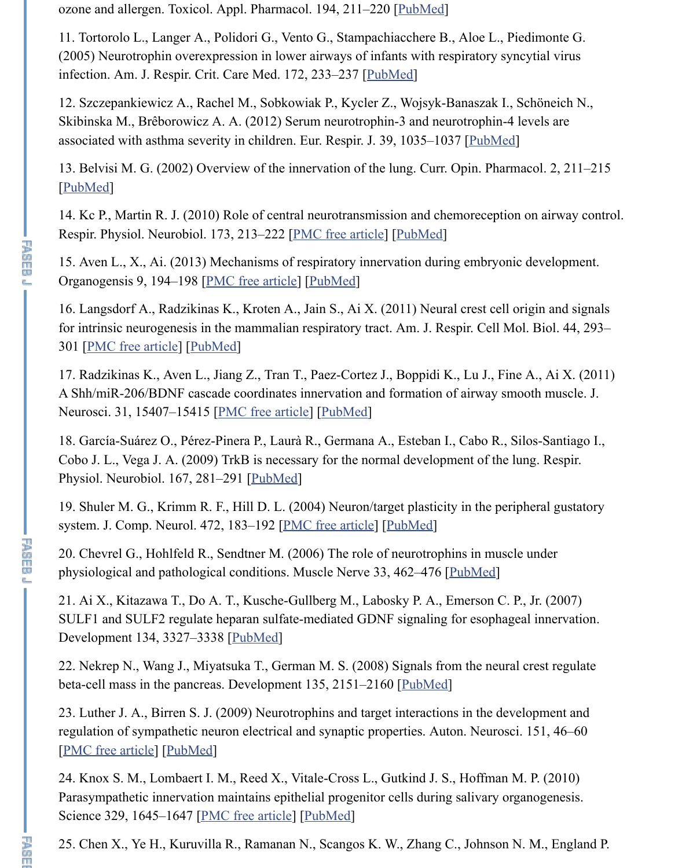14. Kc P., Martin R. J. (2010) Role of central neurotransmissi[on and ch](https://www.ncbi.nlm.nih.gov/pubmed/14761677)emoreception Respir. Physiol. Neurobiol. 173, 213–222 [PMC free article] [PubMed]

15. Aven L., X., Ai. (2013) Mechanisms of respiratory i[nnervatio](https://www.ncbi.nlm.nih.gov/pubmed/15879412)n during embryonic Organogensis 9, 194–198 [PMC free article] [PubMed]

16. Langsdorf A., Radzikinas K., Kroten A., Jain S., Ai X. (2011) Neural crest cell or for intrinsic neurogenesis in the mammalian respiratory tract. Am. J. Respi[r. Cell Mo](https://www.ncbi.nlm.nih.gov/pubmed/22467725) 301 [PMC free article] [PubMed]

[17. Radzi](https://www.ncbi.nlm.nih.gov/pubmed/12020459)kinas K., Aven L., Jiang Z., Tran T., Paez-Cortez J., Boppidi K., Lu J., Fine A Shh/miR-206/BDNF cascade coordinates innervation and formation of airway smo Neurosci. 31, 15407–15415 [PMC free article] [PubMed]

18. García-Suárez O., Pérez-Pinera P., Laurà R., Germana A., Esteban I., Cabo R., Si Cobo J. L., Vega J. A. (2009) TrkB is necessa[ry for the](https://www.ncbi.nlm.nih.gov/pubmed/23974176) normal development of the lu Physiol. Neurobiol. 167, 2[81–291 \[PubMed](https://www.ncbi.nlm.nih.gov/pmc/articles/PMC3896590/)]

19. Shuler M. G., Krimm R. F., Hill D. L. (2004) Neuron/target plasticity in the perip syste[m. J. Comp. Neu](https://www.ncbi.nlm.nih.gov/pmc/articles/PMC3159091/)ro[l. 472, 18](https://www.ncbi.nlm.nih.gov/pubmed/20139349)3–192 [PMC free article] [PubMed]

20. Chevrel G., Hohlfeld R., Sendtner M. (2006) The role of neurotrophins in muscle physiological and pathological conditions. Muscle Nerve 33, 462–476 [PubMed]

21. Ai X., Kitazawa T., Do [A. T., Kusche-Gul](https://www.ncbi.nlm.nih.gov/pmc/articles/PMC3222097/)lb[erg M., L](https://www.ncbi.nlm.nih.gov/pubmed/22031887)abosky P. A., Emerson C. P. SULF1 and SULF2 regulate heparan sulfate-mediated GDNF signaling for esophage Development 134, 3327–3338 [PubMed]

22. Nekrep N., Wang J., Miyatsuka [T., Germ](https://www.ncbi.nlm.nih.gov/pubmed/19523540)an M. S. (2008) Signals from the neural beta-cell mass in the pancreas. Development 135, 2151–2160 [PubMed]

23. Luther J. A., Birren S. J. (2009) Neur[otrophins and tar](https://www.ncbi.nlm.nih.gov/pmc/articles/PMC2799684/)g[et interact](https://www.ncbi.nlm.nih.gov/pubmed/15048686)ions in the deve regulation of sympathetic neuron electrical and synaptic properties. Auton. Neurosci. [PMC free article] [PubMed]

24. Knox S. M., Lombaert I. M., Reed X., Vitale-Cross L., Gutkind J. S[., Hoffma](https://www.ncbi.nlm.nih.gov/pubmed/16228973)n M. Parasympathetic innervation maintains epithelial progenitor cells during salivary org Science 329, 1645–1647 [PMC free article] [PubMed]

25. Chen X., Ye H., Kuruvilla [R., Raman](https://www.ncbi.nlm.nih.gov/pubmed/17720696)an N., Scangos K. W., Zhang C., Johnson N.

了。

**下降而见** 

 $\blacksquare$   $\blacksquare$   $\blacksquare$   $\blacksquare$   $\blacksquare$   $\blacksquare$   $\blacksquare$   $\blacksquare$   $\blacksquare$   $\blacksquare$   $\blacksquare$   $\blacksquare$   $\blacksquare$   $\blacksquare$   $\blacksquare$   $\blacksquare$   $\blacksquare$   $\blacksquare$   $\blacksquare$   $\blacksquare$   $\blacksquare$   $\blacksquare$   $\blacksquare$   $\blacksquare$   $\blacksquare$   $\blacksquare$   $\blacksquare$   $\blacksquare$   $\blacksquare$   $\blacksquare$   $\blacksquare$   $\blacks$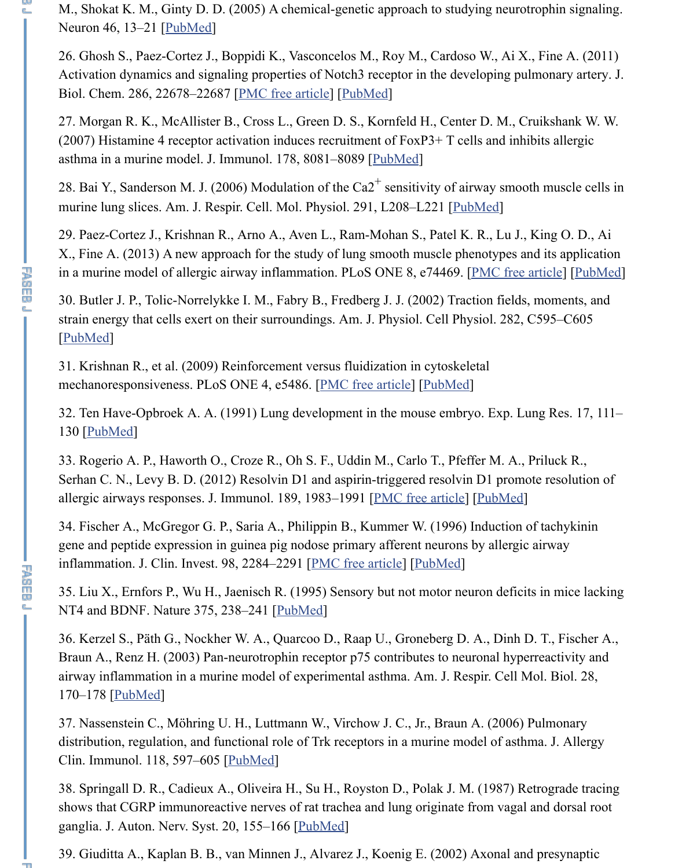28. Bai Y., Sanderson M. J. (2006) Modulation of the Ca2 sensitivity of airway smooth muscle cells in murine lung slices. [Am. J. R](https://www.ncbi.nlm.nih.gov/pubmed/15820690)espir. Cell. Mol. Physiol. 291, L208–L221 [PubMed]

29. Paez-Cortez J., Krishnan R., Arno A., Aven L., Ram-Mohan S., Patel K. R., Lu J.  $X_{\cdot}$ , Fine A. (2013) A new approach for the study of lung smooth muscle phenotypes in a murine model of allergic air[way inflammation](https://www.ncbi.nlm.nih.gov/pmc/articles/PMC3121411/). [PLoS ON](https://www.ncbi.nlm.nih.gov/pubmed/21536678)E 8, e74469. [PMC free

30. Butler J. P., Tolic-Norrelykke I. M., Fabry B., Fredberg J. J. (2002) Traction field strain energy that cells exert on their surroundings. Am. J. Physiol. Cell Physiol. 282 [PubMed]

31. Krishnan R., et al. (2009) Reinforcement versus fluidization in cytoskeletal mechanoresponsiveness. PLoS ONE 4, e5486. [PMC free article] [PubMed]

125歳の奥と

平面而见

32. Ten Have-Opbroek A. A. (1991) Lung development in the mouse e[mbryo. Ex](https://www.ncbi.nlm.nih.gov/pubmed/16461427)p. I 130 [PubMed]

33. Rogerio A. P., Haworth O., Croze [R.,](https://www.ncbi.nlm.nih.gov/pubmed/24040256) Oh S. F., Uddin M., Carlo T., Pfeffer M. A. Serhan C. N., Levy B. D. (2012) Resolvin D1 and aspirin-triggered resolvin D1 pron allergic airways responses. J. Immunol. 189, 1983–1991 [PMC free article] [PubMed]

[34. Fische](https://www.ncbi.nlm.nih.gov/pubmed/11832345)r A., McGregor G. P., Saria A., Philippin B., Kummer W. (1996) Induction gene and peptide expression in guinea pig nodose primary afferent neurons by allergi inflammation. J. Clin. Invest. 98, 2284–2291 [P[MC free article\]](https://www.ncbi.nlm.nih.gov/pmc/articles/PMC2675060/) [P[ubMed\]](https://www.ncbi.nlm.nih.gov/pubmed/19424501)

35. Liu X., Ernfors P., Wu H., Jaenisch R. (1995) Sensory but not motor neuron deficitionNT4 [and BDN](https://www.ncbi.nlm.nih.gov/pubmed/2050021)F. Nature 375, 238–241 [PubMed]

36. Kerzel S., Päth G., Nockher W. A., Quarcoo D., Raap U., Groneberg D. A., Dinh Braun A., Renz H. (2003) Pan-neurotrophin receptor p75 contributes to neuronal hyp airway inflammation in a murine model of experimental asthma. Am. J. Respir. Cell 170–178 [PubMed]

37. Nassenstein C., Möhring U. H., Luttmann W., Virchow J. C., Jr., Braun A. (2006) distribution, regulation, and functional role of Trk receptors in a murine model of ast Clin. Immunol. 118, 597–605 [PubMed]

38. Springall D. R., Cadieux A., Oliveira H., Su H., Royston D., Polak J. M. (1987) I shows that CGRP immunoreactive nerv[es of rat t](https://www.ncbi.nlm.nih.gov/pubmed/7746325)rachea and lung originate from vaga ganglia. J. Auton. Nerv. Syst. 20, 155–166 [PubMed]

39. Giuditta A., Kaplan B. B., van Minnen J., Alvarez J., Koenig E. (2002) Axonal and